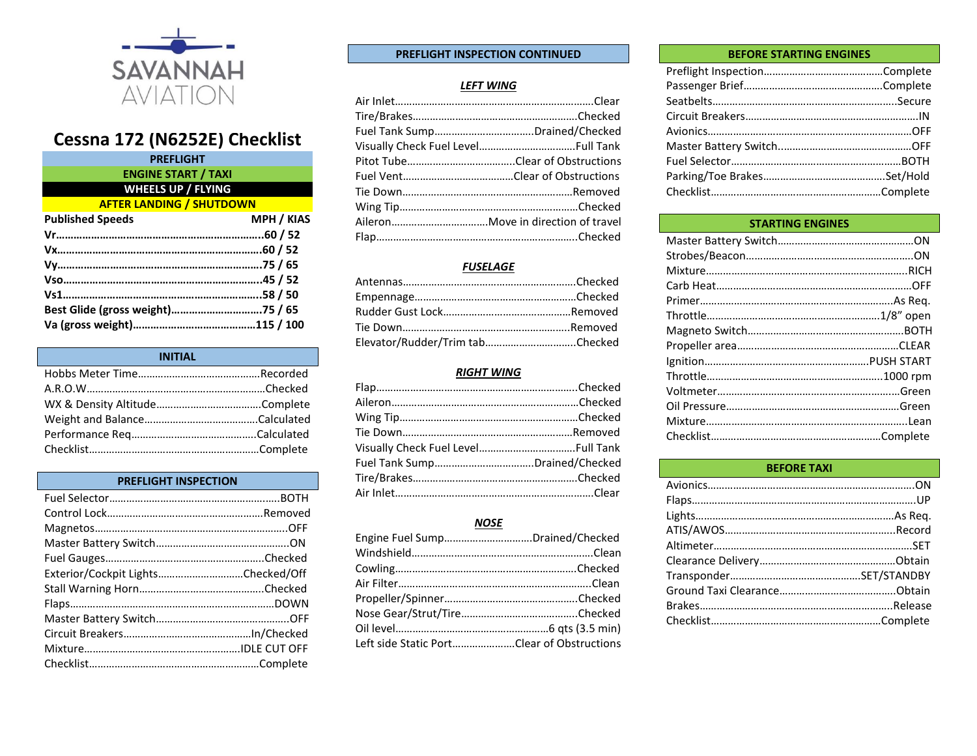

# **Cessna 172 (N6252E) Checklist**

| <b>PREFLIGHT</b>                 |                   |
|----------------------------------|-------------------|
| <b>ENGINE START / TAXI</b>       |                   |
| <b>WHEELS UP / FLYING</b>        |                   |
| <b>AFTER LANDING / SHUTDOWN</b>  |                   |
| <b>Published Speeds</b>          | <b>MPH / KIAS</b> |
|                                  |                   |
|                                  |                   |
| Vy…………………………………………………………75 / 65  |                   |
|                                  |                   |
|                                  |                   |
| Best Glide (gross weight)75 / 65 |                   |
|                                  |                   |
|                                  |                   |

| <b>INITIAL</b> |  |
|----------------|--|
|                |  |
|                |  |
|                |  |
|                |  |
|                |  |
|                |  |

# **PREFLIGHT INSPECTION**

| Exterior/Cockpit LightsChecked/Off |  |
|------------------------------------|--|
|                                    |  |
|                                    |  |
|                                    |  |
|                                    |  |
|                                    |  |
|                                    |  |

# **PREFLIGHT INSPECTION CONTINUED**

#### *LEFT WING*

| Fuel Tank SumpDrained/Checked |
|-------------------------------|
|                               |
|                               |
|                               |
|                               |
|                               |
|                               |
|                               |

# *FUSELAGE*

| Elevator/Rudder/Trim tabChecked |  |
|---------------------------------|--|

#### *RIGHT WING*

# *NOSE*

| Engine Fuel SumpDrained/Checked            |  |
|--------------------------------------------|--|
|                                            |  |
|                                            |  |
|                                            |  |
|                                            |  |
|                                            |  |
|                                            |  |
| Left side Static PortClear of Obstructions |  |

#### **BEFORE STARTING ENGINES**

### **STARTING ENGINES**

| <b>BEFORE TAXI</b> |  |
|--------------------|--|
|                    |  |
|                    |  |
|                    |  |
|                    |  |
|                    |  |
|                    |  |
|                    |  |
|                    |  |
|                    |  |
|                    |  |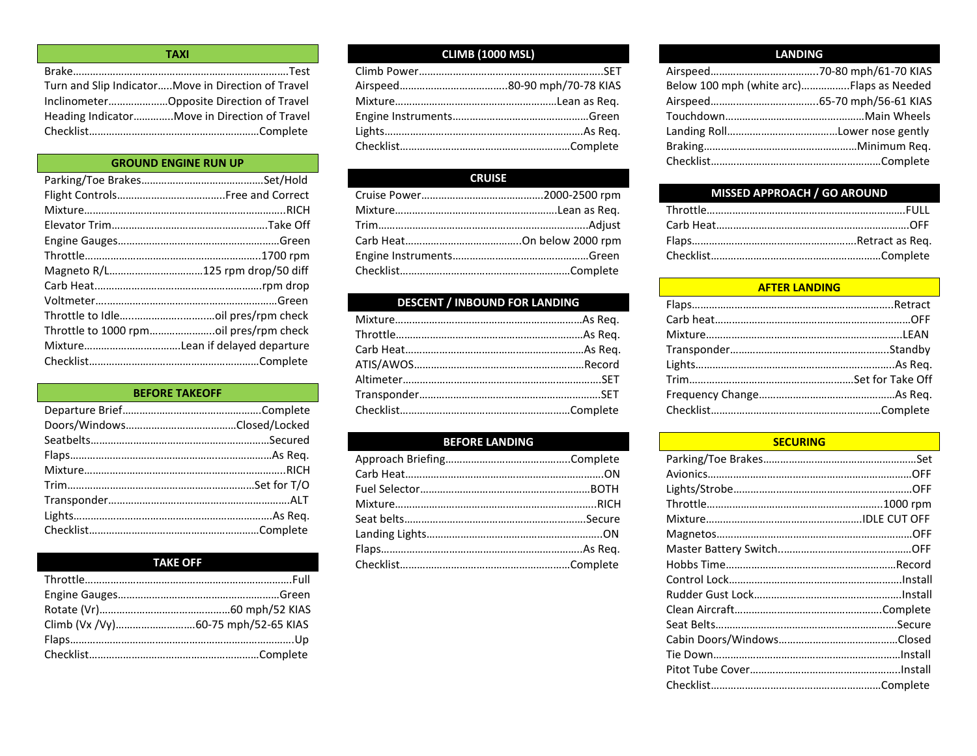| <b>TAXI</b>                                        |
|----------------------------------------------------|
|                                                    |
| Turn and Slip IndicatorMove in Direction of Travel |
|                                                    |
| Heading IndicatorMove in Direction of Travel       |
|                                                    |

# **GROUND ENGINE RUN UP**

| Magneto R/L125 rpm drop/50 diff |
|---------------------------------|
|                                 |
|                                 |
|                                 |
|                                 |
|                                 |
|                                 |

### **BEFORE TAKEOFF**

# **TAKE OFF**

# **CLIMB (1000 MSL)**

# **CRUISE**

# **DESCENT / INBOUND FOR LANDING**

# **BEFORE LANDING**

## **LANDING**

| Below 100 mph (white arc)Flaps as Needed |  |
|------------------------------------------|--|
|                                          |  |
|                                          |  |
|                                          |  |
|                                          |  |
|                                          |  |
|                                          |  |

# **MISSED APPROACH / GO AROUND**

### **AFTER LANDING**

#### **SECURING**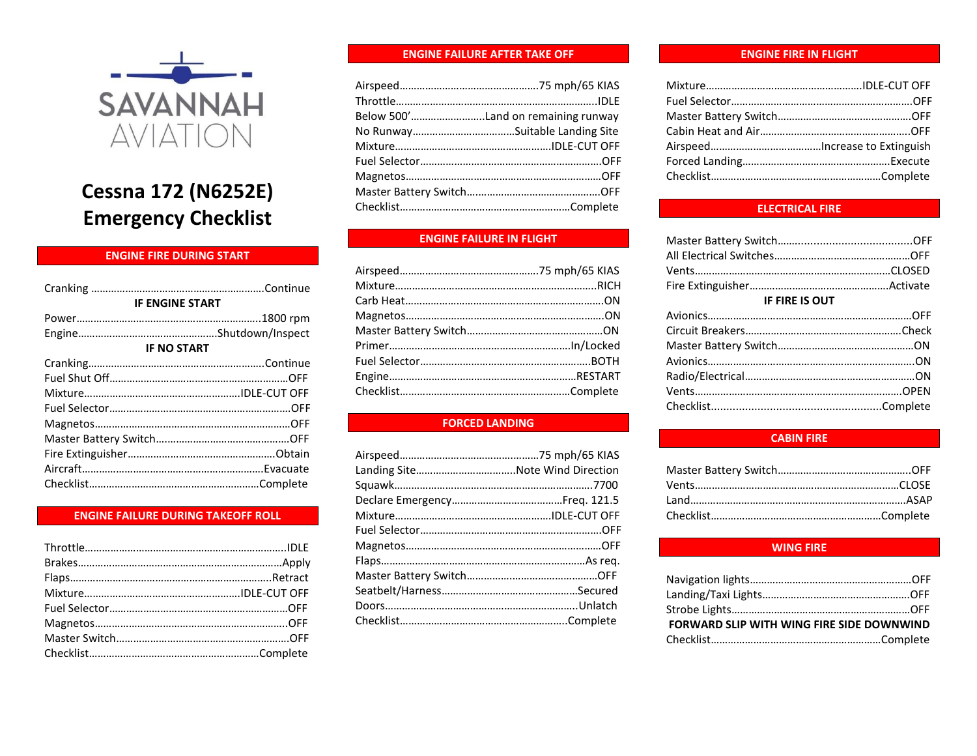

# **Cessna 172 (N6252E) Emergency Checklist**

# **ENGINE FIRE DURING START**

| <b>IF ENGINE START</b> |  |
|------------------------|--|
|                        |  |
|                        |  |
| <b>IF NO START</b>     |  |
|                        |  |
|                        |  |
|                        |  |
|                        |  |
|                        |  |
|                        |  |
|                        |  |
|                        |  |
|                        |  |
|                        |  |

#### **ENGINE FAILURE DURING TAKEOFF ROLL**

#### **ENGINE FAILURE AFTER TAKE OFF**

| Below 500'Land on remaining runway |
|------------------------------------|
|                                    |
|                                    |
|                                    |
|                                    |
|                                    |
|                                    |
|                                    |

# **ENGINE FAILURE IN FLIGHT**

# **FORCED LANDING**

| Landing SiteNote Wind Direction |  |
|---------------------------------|--|
|                                 |  |
|                                 |  |
|                                 |  |
|                                 |  |
|                                 |  |
|                                 |  |
|                                 |  |
|                                 |  |
|                                 |  |
|                                 |  |

#### **ENGINE FIRE IN FLIGHT**

# **ELECTRICAL FIRE**

| <b>IF FIRE IS OUT</b> |  |
|-----------------------|--|
|                       |  |
|                       |  |
|                       |  |
|                       |  |
|                       |  |
|                       |  |
|                       |  |
|                       |  |

#### **CABIN FIRE**

#### **WING FIRE**

| FORWARD SLIP WITH WING FIRE SIDE DOWNWIND |  |
|-------------------------------------------|--|
|                                           |  |